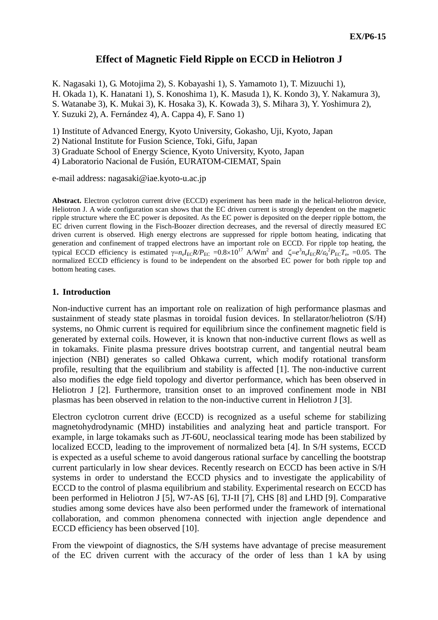# **Effect of Magnetic Field Ripple on ECCD in Heliotron J**

K. Nagasaki 1), G. Motojima 2), S. Kobayashi 1), S. Yamamoto 1), T. Mizuuchi 1), H. Okada 1), K. Hanatani 1), S. Konoshima 1), K. Masuda 1), K. Kondo 3), Y. Nakamura 3), S. Watanabe 3), K. Mukai 3), K. Hosaka 3), K. Kowada 3), S. Mihara 3), Y. Yoshimura 2), Y. Suzuki 2), A. Fernández 4), A. Cappa 4), F. Sano 1)

1) Institute of Advanced Energy, Kyoto University, Gokasho, Uji, Kyoto, Japan

2) National Institute for Fusion Science, Toki, Gifu, Japan

3) Graduate School of Energy Science, Kyoto University, Kyoto, Japan

4) Laboratorio Nacional de Fusión, EURATOM-CIEMAT, Spain

e-mail address: nagasaki@iae.kyoto-u.ac.jp

**Abstract.** Electron cyclotron current drive (ECCD) experiment has been made in the helical-heliotron device, Heliotron J. A wide configuration scan shows that the EC driven current is strongly dependent on the magnetic ripple structure where the EC power is deposited. As the EC power is deposited on the deeper ripple bottom, the EC driven current flowing in the Fisch-Boozer direction decreases, and the reversal of directly measured EC driven current is observed. High energy electrons are suppressed for ripple bottom heating, indicating that generation and confinement of trapped electrons have an important role on ECCD. For ripple top heating, the typical ECCD efficiency is estimated  $\gamma = n_e I_{\rm EC} R / P_{\rm EC} = 0.8 \times 10^{17}$  A/Wm<sup>2</sup> and  $\zeta = e^3 n_e I_{\rm EC} R / \varepsilon_0^2 P_{\rm EC} T_{\rm e}$ , =0.05. The normalized ECCD efficiency is found to be independent on the absorbed EC power for both ripple top and bottom heating cases.

## **1. Introduction**

Non-inductive current has an important role on realization of high performance plasmas and sustainment of steady state plasmas in toroidal fusion devices. In stellarator/heliotron (S/H) systems, no Ohmic current is required for equilibrium since the confinement magnetic field is generated by external coils. However, it is known that non-inductive current flows as well as in tokamaks. Finite plasma pressure drives bootstrap current, and tangential neutral beam injection (NBI) generates so called Ohkawa current, which modify rotational transform profile, resulting that the equilibrium and stability is affected [1]. The non-inductive current also modifies the edge field topology and divertor performance, which has been observed in Heliotron J [2]. Furthermore, transition onset to an improved confinement mode in NBI plasmas has been observed in relation to the non-inductive current in Heliotron J [3].

Electron cyclotron current drive (ECCD) is recognized as a useful scheme for stabilizing magnetohydrodynamic (MHD) instabilities and analyzing heat and particle transport. For example, in large tokamaks such as JT-60U, neoclassical tearing mode has been stabilized by localized ECCD, leading to the improvement of normalized beta [4]. In S/H systems, ECCD is expected as a useful scheme to avoid dangerous rational surface by cancelling the bootstrap current particularly in low shear devices. Recently research on ECCD has been active in S/H systems in order to understand the ECCD physics and to investigate the applicability of ECCD to the control of plasma equilibrium and stability. Experimental research on ECCD has been performed in Heliotron J [5], W7-AS [6], TJ-II [7], CHS [8] and LHD [9]. Comparative studies among some devices have also been performed under the framework of international collaboration, and common phenomena connected with injection angle dependence and ECCD efficiency has been observed [10].

From the viewpoint of diagnostics, the S/H systems have advantage of precise measurement of the EC driven current with the accuracy of the order of less than 1 kA by using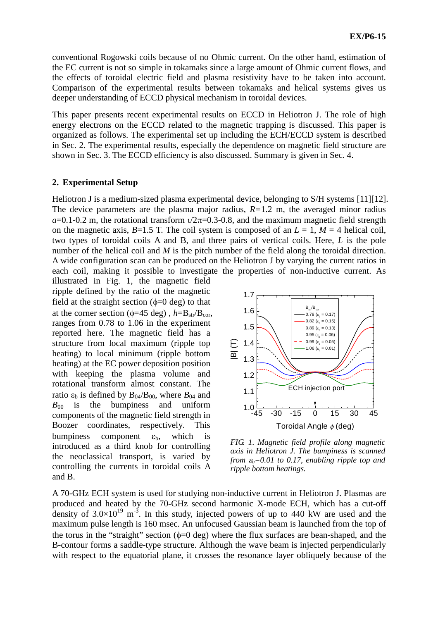conventional Rogowski coils because of no Ohmic current. On the other hand, estimation of the EC current is not so simple in tokamaks since a large amount of Ohmic current flows, and the effects of toroidal electric field and plasma resistivity have to be taken into account. Comparison of the experimental results between tokamaks and helical systems gives us deeper understanding of ECCD physical mechanism in toroidal devices.

This paper presents recent experimental results on ECCD in Heliotron J. The role of high energy electrons on the ECCD related to the magnetic trapping is discussed. This paper is organized as follows. The experimental set up including the ECH/ECCD system is described in Sec. 2. The experimental results, especially the dependence on magnetic field structure are shown in Sec. 3. The ECCD efficiency is also discussed. Summary is given in Sec. 4.

## **2. Experimental Setup**

Heliotron J is a medium-sized plasma experimental device, belonging to S/H systems [11][12]. The device parameters are the plasma major radius, *R=*1.2 m, the averaged minor radius  $a=0.1$ -0.2 m, the rotational transform  $\frac{1}{2}\pi$ =0.3-0.8, and the maximum magnetic field strength on the magnetic axis,  $B=1.5$  T. The coil system is composed of an  $L=1$ ,  $M=4$  helical coil, two types of toroidal coils A and B, and three pairs of vertical coils. Here, *L* is the pole number of the helical coil and *M* is the pitch number of the field along the toroidal direction. A wide configuration scan can be produced on the Heliotron J by varying the current ratios in each coil, making it possible to investigate the properties of non-inductive current. As

illustrated in Fig. 1, the magnetic field ripple defined by the ratio of the magnetic field at the straight section  $(\phi=0 \text{ deg})$  to that at the corner section ( $\phi$ =45 deg),  $h$ = $B_{str}/B_{cor}$ , ranges from 0.78 to 1.06 in the experiment reported here. The magnetic field has a structure from local maximum (ripple top heating) to local minimum (ripple bottom heating) at the EC power deposition position with keeping the plasma volume and rotational transform almost constant. The ratio  $\varepsilon_b$  is defined by  $B_{04}/B_{00}$ , where  $B_{04}$  and  $B_{00}$  is the bumpiness and uniform components of the magnetic field strength in Boozer coordinates, respectively. This bumpiness component  $\varepsilon_b$ , which is introduced as a third knob for controlling the neoclassical transport, is varied by controlling the currents in toroidal coils A and B.



*FIG. 1. Magnetic field profile along magnetic axis in Heliotron J. The bumpiness is scanned from*  $\varepsilon_b = 0.01$  to 0.17, enabling ripple top and *ripple bottom heatings.*

A 70-GHz ECH system is used for studying non-inductive current in Heliotron J. Plasmas are produced and heated by the 70-GHz second harmonic X-mode ECH, which has a cut-off density of  $3.0 \times 10^{19}$  m<sup>-3</sup>. In this study, injected powers of up to 440 kW are used and the maximum pulse length is 160 msec. An unfocused Gaussian beam is launched from the top of the torus in the "straight" section  $(\phi=0 \text{ deg})$  where the flux surfaces are bean-shaped, and the B-contour forms a saddle-type structure. Although the wave beam is injected perpendicularly with respect to the equatorial plane, it crosses the resonance layer obliquely because of the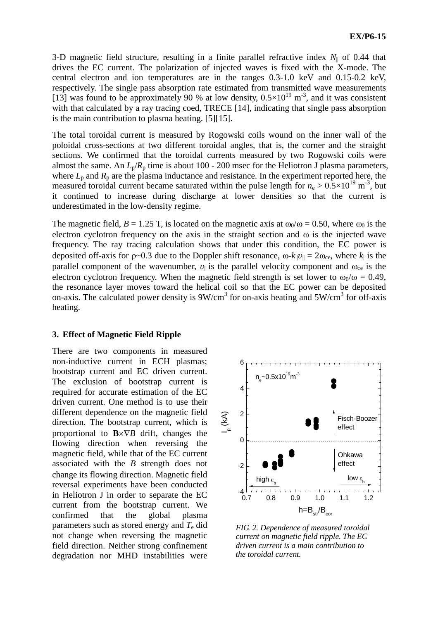3-D magnetic field structure, resulting in a finite parallel refractive index  $N_{\parallel}$  of 0.44 that drives the EC current. The polarization of injected waves is fixed with the X-mode. The central electron and ion temperatures are in the ranges 0.3-1.0 keV and 0.15-0.2 keV, respectively. The single pass absorption rate estimated from transmitted wave measurements [13] was found to be approximately 90 % at low density,  $0.5 \times 10^{19}$  m<sup>-3</sup>, and it was consistent with that calculated by a ray tracing coed, TRECE [14], indicating that single pass absorption is the main contribution to plasma heating. [5][15].

The total toroidal current is measured by Rogowski coils wound on the inner wall of the poloidal cross-sections at two different toroidal angles, that is, the corner and the straight sections. We confirmed that the toroidal currents measured by two Rogowski coils were almost the same. An  $L_p/R_p$  time is about 100 - 200 msec for the Heliotron J plasma parameters, where  $L_p$  and  $R_p$  are the plasma inductance and resistance. In the experiment reported here, the measured toroidal current became saturated within the pulse length for  $n_e > 0.5 \times 10^{19}$  m<sup>-3</sup>, but it continued to increase during discharge at lower densities so that the current is underestimated in the low-density regime.

The magnetic field,  $B = 1.25$  T, is located on the magnetic axis at  $\omega_0/\omega = 0.50$ , where  $\omega_0$  is the electron cyclotron frequency on the axis in the straight section and  $\omega$  is the injected wave frequency. The ray tracing calculation shows that under this condition, the EC power is deposited off-axis for  $\rho \sim 0.3$  due to the Doppler shift resonance,  $\omega - k_{\parallel}v_{\parallel} = 2\omega_{ce}$ , where  $k_{\parallel}$  is the parallel component of the wavenumber,  $v_{\parallel}$  is the parallel velocity component and  $\omega_{ce}$  is the electron cyclotron frequency. When the magnetic field strength is set lower to  $\omega_0/\omega = 0.49$ , the resonance layer moves toward the helical coil so that the EC power can be deposited on-axis. The calculated power density is  $9W/cm^3$  for on-axis heating and  $5W/cm^3$  for off-axis heating.

## **3. Effect of Magnetic Field Ripple**

There are two components in measured non-inductive current in ECH plasmas; bootstrap current and EC driven current. The exclusion of bootstrap current is required for accurate estimation of the EC driven current. One method is to use their different dependence on the magnetic field direction. The bootstrap current, which is proportional to  $\mathbf{B} \times \nabla B$  drift, changes the flowing direction when reversing the magnetic field, while that of the EC current associated with the *B* strength does not change its flowing direction. Magnetic field reversal experiments have been conducted in Heliotron J in order to separate the EC current from the bootstrap current. We confirmed that the global plasma parameters such as stored energy and *T*<sup>e</sup> did not change when reversing the magnetic field direction. Neither strong confinement degradation nor MHD instabilities were



*FIG. 2. Dependence of measured toroidal current on magnetic field ripple. The EC driven current is a main contribution to the toroidal current.*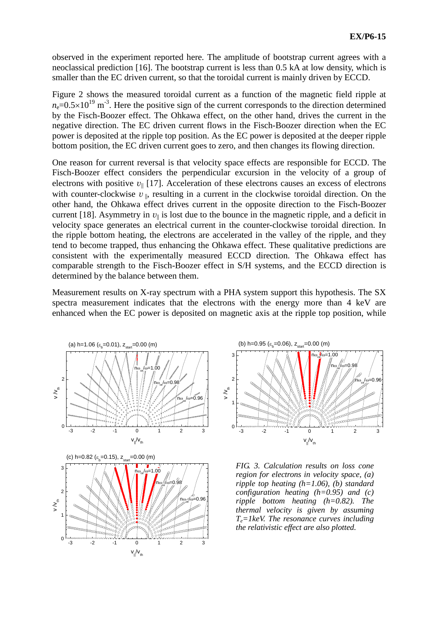observed in the experiment reported here. The amplitude of bootstrap current agrees with a neoclassical prediction [16]. The bootstrap current is less than 0.5 kA at low density, which is smaller than the EC driven current, so that the toroidal current is mainly driven by ECCD.

Figure 2 shows the measured toroidal current as a function of the magnetic field ripple at  $n_e$ =0.5×10<sup>19</sup> m<sup>-3</sup>. Here the positive sign of the current corresponds to the direction determined by the Fisch-Boozer effect. The Ohkawa effect, on the other hand, drives the current in the negative direction. The EC driven current flows in the Fisch-Boozer direction when the EC power is deposited at the ripple top position. As the EC power is deposited at the deeper ripple bottom position, the EC driven current goes to zero, and then changes its flowing direction.

One reason for current reversal is that velocity space effects are responsible for ECCD. The Fisch-Boozer effect considers the perpendicular excursion in the velocity of a group of electrons with positive  $v_{\parallel}$  [17]. Acceleration of these electrons causes an excess of electrons with counter-clockwise  $v_{\parallel}$ , resulting in a current in the clockwise toroidal direction. On the other hand, the Ohkawa effect drives current in the opposite direction to the Fisch-Boozer current [18]. Asymmetry in  $v_{\parallel}$  is lost due to the bounce in the magnetic ripple, and a deficit in velocity space generates an electrical current in the counter-clockwise toroidal direction. In the ripple bottom heating, the electrons are accelerated in the valley of the ripple, and they tend to become trapped, thus enhancing the Ohkawa effect. These qualitative predictions are consistent with the experimentally measured ECCD direction. The Ohkawa effect has comparable strength to the Fisch-Boozer effect in S/H systems, and the ECCD direction is determined by the balance between them.

Measurement results on X-ray spectrum with a PHA system support this hypothesis. The SX spectra measurement indicates that the electrons with the energy more than 4 keV are enhanced when the EC power is deposited on magnetic axis at the ripple top position, while







*FIG. 3. Calculation results on loss cone region for electrons in velocity space, (a) ripple top heating (h=1.06), (b) standard configuration heating (h=0.95) and (c) ripple bottom heating (h=0.82). The thermal velocity is given by assuming Te=1keV. The resonance curves including the relativistic effect are also plotted.*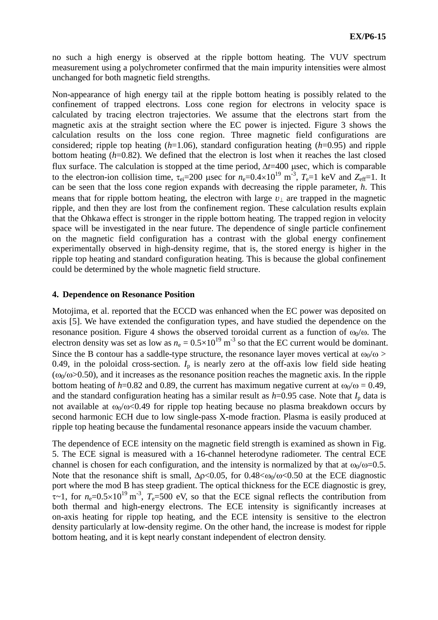no such a high energy is observed at the ripple bottom heating. The VUV spectrum measurement using a polychrometer confirmed that the main impurity intensities were almost unchanged for both magnetic field strengths.

Non-appearance of high energy tail at the ripple bottom heating is possibly related to the confinement of trapped electrons. Loss cone region for electrons in velocity space is calculated by tracing electron trajectories. We assume that the electrons start from the magnetic axis at the straight section where the EC power is injected. Figure 3 shows the calculation results on the loss cone region. Three magnetic field configurations are considered; ripple top heating (*h*=1.06), standard configuration heating (*h*=0.95) and ripple bottom heating (*h*=0.82). We defined that the electron is lost when it reaches the last closed flux surface. The calculation is stopped at the time period,  $\Delta t = 400$  usec, which is comparable to the electron-ion collision time,  $\tau_{ei} = 200$  usec for  $n_e = 0.4 \times 10^{19}$  m<sup>-3</sup>,  $T_e = 1$  keV and  $Z_{eff} = 1$ . It can be seen that the loss cone region expands with decreasing the ripple parameter, *h*. This means that for ripple bottom heating, the electron with large  $v_{\perp}$  are trapped in the magnetic ripple, and then they are lost from the confinement region. These calculation results explain that the Ohkawa effect is stronger in the ripple bottom heating. The trapped region in velocity space will be investigated in the near future. The dependence of single particle confinement on the magnetic field configuration has a contrast with the global energy confinement experimentally observed in high-density regime, that is, the stored energy is higher in the ripple top heating and standard configuration heating. This is because the global confinement could be determined by the whole magnetic field structure.

## **4. Dependence on Resonance Position**

Motojima, et al. reported that the ECCD was enhanced when the EC power was deposited on axis [5]. We have extended the configuration types, and have studied the dependence on the resonance position. Figure 4 shows the observed toroidal current as a function of  $\omega_0/\omega$ . The electron density was set as low as  $n_e = 0.5 \times 10^{19}$  m<sup>-3</sup> so that the EC current would be dominant. Since the B contour has a saddle-type structure, the resonance layer moves vertical at  $\omega_0/\omega$  > 0.49, in the poloidal cross-section.  $I_p$  is nearly zero at the off-axis low field side heating  $(\omega_0/\omega > 0.50)$ , and it increases as the resonance position reaches the magnetic axis. In the ripple bottom heating of *h*=0.82 and 0.89, the current has maximum negative current at  $\omega_0/\omega = 0.49$ , and the standard configuration heating has a similar result as  $h=0.95$  case. Note that  $I_p$  data is not available at  $\omega_0/\omega < 0.49$  for ripple top heating because no plasma breakdown occurs by second harmonic ECH due to low single-pass X-mode fraction. Plasma is easily produced at ripple top heating because the fundamental resonance appears inside the vacuum chamber.

The dependence of ECE intensity on the magnetic field strength is examined as shown in Fig. 5. The ECE signal is measured with a 16-channel heterodyne radiometer. The central ECE channel is chosen for each configuration, and the intensity is normalized by that at  $\omega_0/\omega$ =0.5. Note that the resonance shift is small,  $\Delta p < 0.05$ , for 0.48 $< \omega_0/\omega < 0.50$  at the ECE diagnostic port where the mod B has steep gradient. The optical thickness for the ECE diagnostic is grey,  $\tau$ ~1, for  $n_e$ =0.5×10<sup>19</sup> m<sup>-3</sup>,  $T_e$ =500 eV, so that the ECE signal reflects the contribution from both thermal and high-energy electrons. The ECE intensity is significantly increases at on-axis heating for ripple top heating, and the ECE intensity is sensitive to the electron density particularly at low-density regime. On the other hand, the increase is modest for ripple bottom heating, and it is kept nearly constant independent of electron density.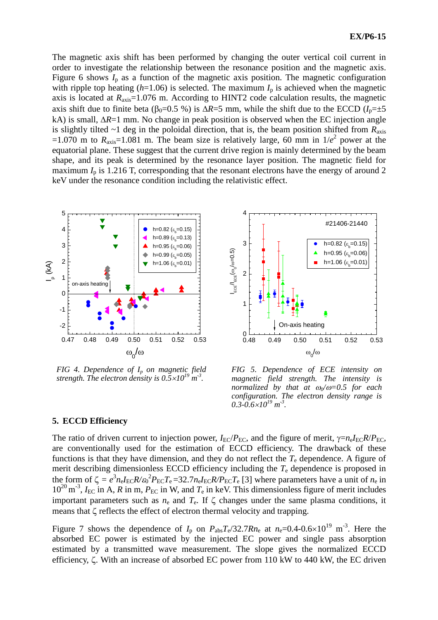The magnetic axis shift has been performed by changing the outer vertical coil current in order to investigate the relationship between the resonance position and the magnetic axis. Figure 6 shows  $I_p$  as a function of the magnetic axis position. The magnetic configuration with ripple top heating  $(h=1.06)$  is selected. The maximum  $I_p$  is achieved when the magnetic axis is located at *R*axis=1.076 m. According to HINT2 code calculation results, the magnetic axis shift due to finite beta ( $\beta_0$ =0.5 %) is  $\Delta R$ =5 mm, while the shift due to the ECCD ( $I_p$ = $\pm$ 5 kA) is small,  $\Delta R=1$  mm. No change in peak position is observed when the EC injection angle is slightly tilted  $\sim$ 1 deg in the poloidal direction, that is, the beam position shifted from  $R_{\text{axis}}$  $=1.070$  m to  $R_{\text{axis}}=1.081$  m. The beam size is relatively large, 60 mm in  $1/e^2$  power at the equatorial plane. These suggest that the current drive region is mainly determined by the beam shape, and its peak is determined by the resonance layer position. The magnetic field for maximum  $I_p$  is 1.216 T, corresponding that the resonant electrons have the energy of around 2 keV under the resonance condition including the relativistic effect.



*FIG 4. Dependence of I<sup>p</sup> on magnetic field strength. The electron density is*  $0.5 \times 10^{19}$  *m<sup>-3</sup>.* 



*FIG 5. Dependence of ECE intensity on magnetic field strength. The intensity is normalized by that at 0/=0.5 for each configuration. The electron density range is*  $0.3 - 0.6 \times 10^{19}$  m<sup>-3</sup>.

## **5. ECCD Efficiency**

The ratio of driven current to injection power,  $I_{EC}/P_{EC}$ , and the figure of merit,  $\gamma = n_e I_{EC} R/P_{EC}$ , are conventionally used for the estimation of ECCD efficiency. The drawback of these functions is that they have dimension, and they do not reflect the *T*<sup>e</sup> dependence. A figure of merit describing dimensionless ECCD efficiency including the *T*<sup>e</sup> dependence is proposed in the form of  $\zeta = e^3 n_e I_{\text{EC}} R / \varepsilon_0^2 P_{\text{EC}} T_e = 32.7 n_e I_{\text{EC}} R / P_{\text{EC}} T_e$  [3] where parameters have a unit of  $n_e$  in  $10^{20}$  m<sup>-3</sup>,  $I_{EC}$  in A, R in m,  $P_{EC}$  in W, and  $T_e$  in keV. This dimensionless figure of merit includes important parameters such as  $n_e$  and  $T_e$ . If  $\zeta$  changes under the same plasma conditions, it means that  $\zeta$  reflects the effect of electron thermal velocity and trapping.

Figure 7 shows the dependence of  $I_p$  on  $P_{\text{abs}}T_e/32.7Rn_e$  at  $n_e=0.4-0.6\times10^{19}$  m<sup>-3</sup>. Here the absorbed EC power is estimated by the injected EC power and single pass absorption estimated by a transmitted wave measurement. The slope gives the normalized ECCD efficiency,  $\zeta$ . With an increase of absorbed EC power from 110 kW to 440 kW, the EC driven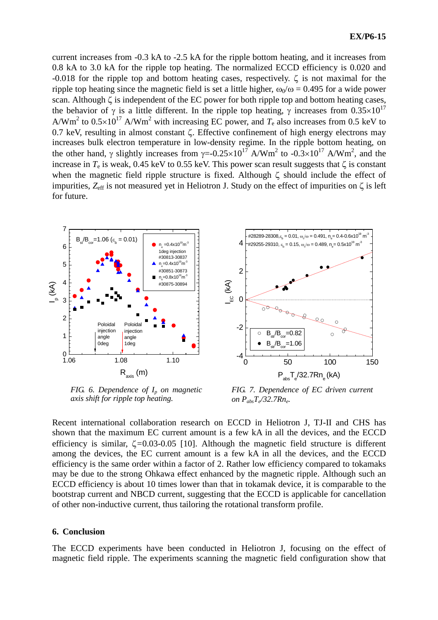current increases from -0.3 kA to -2.5 kA for the ripple bottom heating, and it increases from 0.8 kA to 3.0 kA for the ripple top heating. The normalized ECCD efficiency is 0.020 and -0.018 for the ripple top and bottom heating cases, respectively.  $\zeta$  is not maximal for the ripple top heating since the magnetic field is set a little higher,  $\omega_0/\omega = 0.495$  for a wide power scan. Although  $\zeta$  is independent of the EC power for both ripple top and bottom heating cases, the behavior of  $\gamma$  is a little different. In the ripple top heating,  $\gamma$  increases from 0.35×10<sup>17</sup> A/Wm<sup>2</sup> to  $0.5 \times 10^{17}$  A/Wm<sup>2</sup> with increasing EC power, and  $T_e$  also increases from 0.5 keV to 0.7 keV, resulting in almost constant  $\zeta$ . Effective confinement of high energy electrons may increases bulk electron temperature in low-density regime. In the ripple bottom heating, on the other hand,  $\gamma$  slightly increases from  $\gamma = 0.25 \times 10^{17}$  A/Wm<sup>2</sup> to  $-0.3 \times 10^{17}$  A/Wm<sup>2</sup>, and the increase in  $T_e$  is weak, 0.45 keV to 0.55 keV. This power scan result suggests that  $\zeta$  is constant when the magnetic field ripple structure is fixed. Although  $\zeta$  should include the effect of impurities,  $Z_{\text{eff}}$  is not measured yet in Heliotron J. Study on the effect of impurities on  $\zeta$  is left for future.



*FIG. 6. Dependence of I<sup>p</sup> on magnetic axis shift for ripple top heating.*

*FIG. 7. Dependence of EC driven current on PabsT<sup>e</sup> /32.7Rn<sup>e</sup> .*

Recent international collaboration research on ECCD in Heliotron J, TJ-II and CHS has shown that the maximum EC current amount is a few kA in all the devices, and the ECCD efficiency is similar,  $\zeta = 0.03 - 0.05$  [10]. Although the magnetic field structure is different among the devices, the EC current amount is a few kA in all the devices, and the ECCD efficiency is the same order within a factor of 2. Rather low efficiency compared to tokamaks may be due to the strong Ohkawa effect enhanced by the magnetic ripple. Although such an ECCD efficiency is about 10 times lower than that in tokamak device, it is comparable to the bootstrap current and NBCD current, suggesting that the ECCD is applicable for cancellation of other non-inductive current, thus tailoring the rotational transform profile.

#### **6. Conclusion**

The ECCD experiments have been conducted in Heliotron J, focusing on the effect of magnetic field ripple. The experiments scanning the magnetic field configuration show that